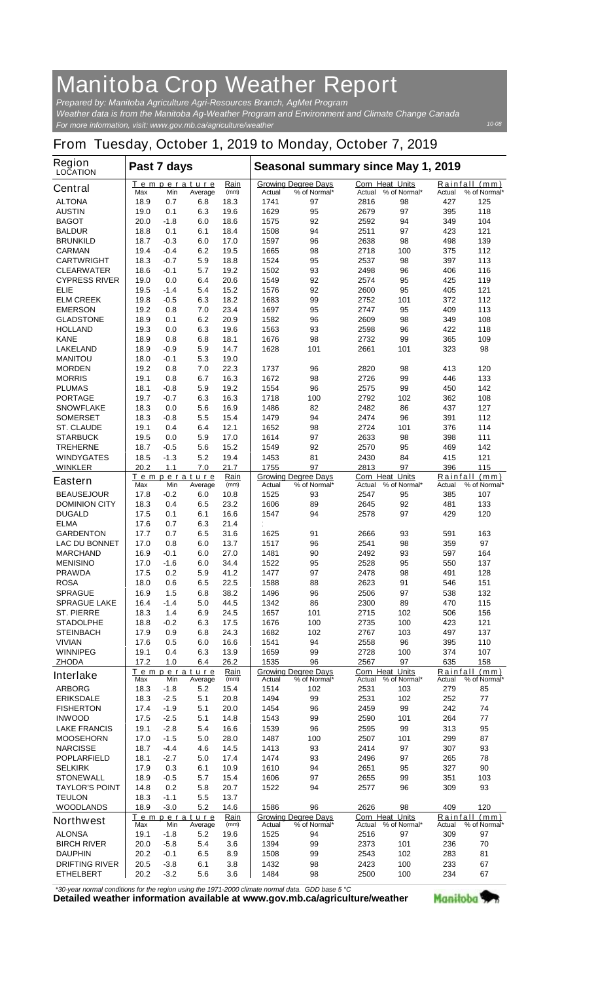## **Manitoba Crop Weather Report**

*For more information, visit: www.gov.mb.ca/agriculture/weather Prepared by: Manitoba Agriculture Agri-Resources Branch, AgMet Program Weather data is from the Manitoba Ag-Weather Program and Environment and Climate Change Canada*

## **From Tuesday, October 1, 2019 to Monday, October 7, 2019**

| Region<br><b>LOCATION</b>             | Past 7 days         |                  |                               |              | Seasonal summary since May 1, 2019 |                                            |                                  |                     |            |                               |
|---------------------------------------|---------------------|------------------|-------------------------------|--------------|------------------------------------|--------------------------------------------|----------------------------------|---------------------|------------|-------------------------------|
| <b>Central</b>                        | Max                 | Min              | <u>Temperature</u><br>Average | Rain<br>(mm) | Actual                             | <b>Growing Degree Days</b><br>% of Normal* | <b>Corn Heat Units</b><br>Actual | % of Normal*        | Actual     | Rainfall (mm)<br>% of Normal* |
| <b>ALTONA</b>                         | 18.9                | 0.7              | 6.8                           | 18.3         | 1741                               | 97                                         | 2816                             | 98                  | 427        | 125                           |
| <b>AUSTIN</b>                         | 19.0                | 0.1              | 6.3                           | 19.6         | 1629                               | 95                                         | 2679                             | 97                  | 395        | 118                           |
| <b>BAGOT</b>                          | 20.0                | $-1.8$           | 6.0                           | 18.6         | 1575                               | 92                                         | 2592                             | 94                  | 349        | 104                           |
| <b>BALDUR</b>                         | 18.8                | 0.1              | 6.1                           | 18.4         | 1508                               | 94                                         | 2511                             | 97                  | 423        | 121                           |
| <b>BRUNKILD</b>                       | 18.7                | $-0.3$           | 6.0                           | 17.0         | 1597                               | 96                                         | 2638                             | 98                  | 498        | 139                           |
| <b>CARMAN</b>                         | 19.4                | $-0.4$           | 6.2                           | 19.5         | 1665                               | 98                                         | 2718                             | 100                 | 375        | 112                           |
| <b>CARTWRIGHT</b>                     | 18.3                | -0.7             | 5.9                           | 18.8         | 1524                               | 95                                         | 2537                             | 98                  | 397        | 113                           |
| <b>CLEARWATER</b>                     | 18.6                | $-0.1$           | 5.7                           | 19.2         | 1502                               | 93                                         | 2498                             | 96                  | 406        | 116                           |
| <b>CYPRESS RIVER</b>                  | 19.0                | 0.0              | 6.4                           | 20.6         | 1549                               | 92                                         | 2574                             | 95                  | 425        | 119                           |
| <b>ELIE</b>                           | 19.5                | $-1.4$<br>$-0.5$ | 5.4                           | 15.2<br>18.2 | 1576<br>1683                       | 92<br>99                                   | 2600                             | 95                  | 405<br>372 | 121<br>112                    |
| <b>ELM CREEK</b><br><b>EMERSON</b>    | 19.8<br>19.2        | 0.8              | 6.3<br>7.0                    | 23.4         | 1697                               | 95                                         | 2752<br>2747                     | 101<br>95           | 409        | 113                           |
| <b>GLADSTONE</b>                      | 18.9                | 0.1              | 6.2                           | 20.9         | 1582                               | 96                                         | 2609                             | 98                  | 349        | 108                           |
| <b>HOLLAND</b>                        | 19.3                | 0.0              | 6.3                           | 19.6         | 1563                               | 93                                         | 2598                             | 96                  | 422        | 118                           |
| <b>KANE</b>                           | 18.9                | 0.8              | 6.8                           | 18.1         | 1676                               | 98                                         | 2732                             | 99                  | 365        | 109                           |
| <b>LAKELAND</b>                       | 18.9                | -0.9             | 5.9                           | 14.7         | 1628                               | 101                                        | 2661                             | 101                 | 323        | 98                            |
| <b>MANITOU</b>                        | 18.0                | -0.1             | 5.3                           | 19.0         |                                    |                                            |                                  |                     |            |                               |
| <b>MORDEN</b>                         | 19.2                | 0.8              | 7.0                           | 22.3         | 1737                               | 96                                         | 2820                             | 98                  | 413        | 120                           |
| <b>MORRIS</b>                         | 19.1                | 0.8              | 6.7                           | 16.3         | 1672                               | 98                                         | 2726                             | 99                  | 446        | 133                           |
| <b>PLUMAS</b>                         | 18.1                | -0.8             | 5.9                           | 19.2         | 1554                               | 96                                         | 2575                             | 99                  | 450        | 142                           |
| <b>PORTAGE</b>                        | 19.7                | -0.7             | 6.3                           | 16.3         | 1718                               | 100                                        | 2792                             | 102                 | 362        | 108                           |
| <b>SNOWFLAKE</b>                      | 18.3                | 0.0              | 5.6                           | 16.9         | 1486                               | 82                                         | 2482                             | 86                  | 437        | 127                           |
| <b>SOMERSET</b>                       | 18.3                | -0.8             | 5.5                           | 15.4         | 1479                               | 94                                         | 2474                             | 96                  | 391        | 112                           |
| <b>ST. CLAUDE</b>                     | 19.1                | 0.4              | 6.4                           | 12.1         | 1652                               | 98                                         | 2724                             | 101                 | 376        | 114                           |
| <b>STARBUCK</b>                       | 19.5                | 0.0              | 5.9                           | 17.0         | 1614                               | 97                                         | 2633                             | 98                  | 398        | 111                           |
| <b>TREHERNE</b>                       | 18.7                | $-0.5$           | 5.6                           | 15.2         | 1549                               | 92                                         | 2570                             | 95                  | 469        | 142                           |
| WINDYGATES                            | 18.5                | $-1.3$           | 5.2                           | 19.4         | 1453                               | 81                                         | 2430                             | 84                  | 415        | 121                           |
| <b>WINKLER</b>                        | 20.2                | 1.1              | 7.0                           | 21.7         | 1755                               | 97                                         | 2813                             | 97                  | 396        | 115                           |
| <b>Eastern</b>                        | Max                 | Min              | Temperature<br>Average        | Rain<br>(mm) | Actual                             | <b>Growing Degree Days</b><br>% of Normal* | <b>Corn Heat Units</b><br>Actual | % of Normal*        | Actual     | Rainfall (mm)<br>% of Normal* |
| <b>BEAUSEJOUR</b>                     | 17.8                | $-0.2$           | 6.0                           | 10.8         | 1525                               | 93                                         | 2547                             | 95                  | 385        | 107                           |
| <b>DOMINION CITY</b>                  | 18.3                | 0.4              | 6.5                           | 23.2         | 1606                               | 89                                         | 2645                             | 92                  | 481        | 133                           |
| <b>DUGALD</b>                         | 17.5                | 0.1              | 6.1                           | 16.6         | 1547                               | 94                                         | 2578                             | 97                  | 429        | 120                           |
| <b>ELMA</b>                           | 17.6                | 0.7              | 6.3                           | 21.4         |                                    |                                            |                                  |                     |            |                               |
| <b>GARDENTON</b>                      | 17.7                | 0.7              | 6.5                           | 31.6         | 1625                               | 91                                         | 2666                             | 93                  | 591        | 163                           |
| <b>LAC DU BONNET</b>                  | 17.0                | 0.8              | 6.0                           | 13.7         | 1517                               | 96                                         | 2541                             | 98                  | 359        | 97                            |
| <b>MARCHAND</b>                       | 16.9                | $-0.1$           | 6.0                           | 27.0         | 1481                               | 90                                         | 2492                             | 93                  | 597        | 164                           |
| <b>MENISINO</b>                       | 17.0                | $-1.6$           | 6.0                           | 34.4         | 1522                               | 95                                         | 2528                             | 95                  | 550        | 137                           |
| <b>PRAWDA</b>                         | 17.5                | 0.2              | 5.9                           | 41.2         | 1477                               | 97                                         | 2478                             | 98                  | 491        | 128                           |
| <b>ROSA</b>                           | 18.0                | 0.6              | 6.5                           | 22.5         | 1588                               | 88                                         | 2623                             | 91                  | 546        | 151                           |
| <b>SPRAGUE</b>                        | 16.9                | 1.5              | 6.8                           | 38.2         | 1496                               | 96                                         | 2506                             | 97                  | 538        | 132                           |
| <b>SPRAGUE LAKE</b>                   | 16.4                | $-1.4$           | 5.0                           | 44.5         | 1342                               | 86                                         | 2300                             | 89                  | 470        | 115                           |
| <b>ST. PIERRE</b><br><b>STADOLPHE</b> | 18.3                | 1.4              | 6.9                           | 24.5         | 1657                               | 101                                        | 2715                             | 102                 | 506        | 156                           |
| <b>STEINBACH</b>                      | 18.8<br>17.9        | -0.2<br>0.9      | 6.3<br>6.8                    | 17.5<br>24.3 | 1676<br>1682                       | 100<br>102                                 | 2735<br>2767                     | 100<br>103          | 423<br>497 | 121<br>137                    |
| <b>VIVIAN</b>                         | 17.6                | 0.5              | 6.0                           | 16.6         | 1541                               | 94                                         | 2558                             | 96                  | 395        | 110                           |
| <b>WINNIPEG</b>                       | 19.1                | 0.4              | 6.3                           | 13.9         | 1659                               | 99                                         | 2728                             | 100                 | 374        | 107                           |
| <b>ZHODA</b>                          | 17.2                | 1.0              | 6.4                           | 26.2         | 1535                               | 96                                         | 2567                             | 97                  | 635        | 158                           |
|                                       |                     |                  | Temperature                   | Rain         |                                    | <b>Growing Degree Days</b>                 | Corn Heat Units                  |                     |            | Rainfall (mm)                 |
| <b>Interlake</b>                      | Max                 | Min              | Average                       | (mm)         | <b>Actual</b>                      | % of Normal*                               | Actual                           | % of Normal*        | Actual     | % of Normal*                  |
| <b>ARBORG</b>                         | 18.3                | $-1.8$           | 5.2                           | 15.4         | 1514                               | 102                                        | 2531                             | 103                 | 279        | 85                            |
| <b>ERIKSDALE</b>                      | 18.3                | $-2.5$           | 5.1                           | 20.8         | 1494                               | 99                                         | 2531                             | 102                 | 252        | 77                            |
| <b>FISHERTON</b>                      | 17.4                | $-1.9$           | 5.1                           | 20.0         | 1454                               | 96                                         | 2459                             | 99                  | 242        | 74                            |
| <b>INWOOD</b>                         | 17.5                | $-2.5$           | 5.1                           | 14.8         | 1543                               | 99                                         | 2590                             | 101                 | 264        | 77                            |
| <b>LAKE FRANCIS</b>                   | 19.1                | $-2.8$           | 5.4                           | 16.6         | 1539                               | 96                                         | 2595                             | 99                  | 313        | 95                            |
| <b>MOOSEHORN</b>                      | 17.0                | $-1.5$           | 5.0                           | 28.0         | 1487                               | 100                                        | 2507                             | 101                 | 299<br>307 | 87                            |
| <b>NARCISSE</b><br><b>POPLARFIELD</b> | 18.7<br>18.1        | -4.4<br>$-2.7$   | 4.6<br>5.0                    | 14.5<br>17.4 | 1413<br>1474                       | 93<br>93                                   | 2414<br>2496                     | 97<br>97            | 265        | 93<br>78                      |
| <b>SELKIRK</b>                        | 17.9                | 0.3              | 6.1                           | 10.9         | 1610                               | 94                                         | 2651                             | 95                  | 327        | 90                            |
| <b>STONEWALL</b>                      | 18.9                | $-0.5$           | 5.7                           | 15.4         | 1606                               | 97                                         | 2655                             | 99                  | 351        | 103                           |
| <b>TAYLOR'S POINT</b>                 | 14.8                | 0.2              | 5.8                           | 20.7         | 1522                               | 94                                         | 2577                             | 96                  | 309        | 93                            |
| <b>TEULON</b>                         | 18.3                | $-1.1$           | 5.5                           | 13.7         |                                    |                                            |                                  |                     |            |                               |
| <b>WOODLANDS</b>                      | 18.9                | $-3.0$           | 5.2                           | 14.6         | 1586                               | 96                                         | 2626                             | 98                  | 409        | 120                           |
|                                       | Temperature<br>Rain |                  |                               |              | <b>Growing Degree Days</b>         | Corn Heat Units                            |                                  | Rainfall (mm)       |            |                               |
| <b>Northwest</b>                      | Max                 | Min              | Average                       | (mm)         | Actual                             | % of Normal*                               |                                  | Actual % of Normal* | Actual     | % of Normal*                  |
| <b>ALONSA</b>                         | 19.1                | $-1.8$           | 5.2                           | 19.6         | 1525                               | 94                                         | 2516                             | 97                  | 309        | 97                            |
| <b>BIRCH RIVER</b>                    | 20.0                | $-5.8$           | 5.4                           | 3.6          | 1394                               | 99                                         | 2373                             | 101                 | 236        | 70                            |
| <b>DAUPHIN</b>                        | 20.2                | $-0.1$           | 6.5                           | 8.9          | 1508                               | 99                                         | 2543                             | 102                 | 283        | 81                            |
| <b>DRIFTING RIVER</b>                 | 20.5                | $-3.8$           | 6.1                           | 3.8          | 1432                               | 98                                         | 2423                             | 100                 | 233        | 67                            |
| <b>ETHELBERT</b>                      | 20.2                | $-3.2$           | 5.6                           | 3.6          | 1484                               | 98                                         | 2500                             | 100                 | 234        | 67                            |

*\*30-year normal conditions for the region using the 1971-2000 climate normal data. GDD base 5 °C*<br>Detailed weather information available at www.gov.mb.ca/agriculture/weather